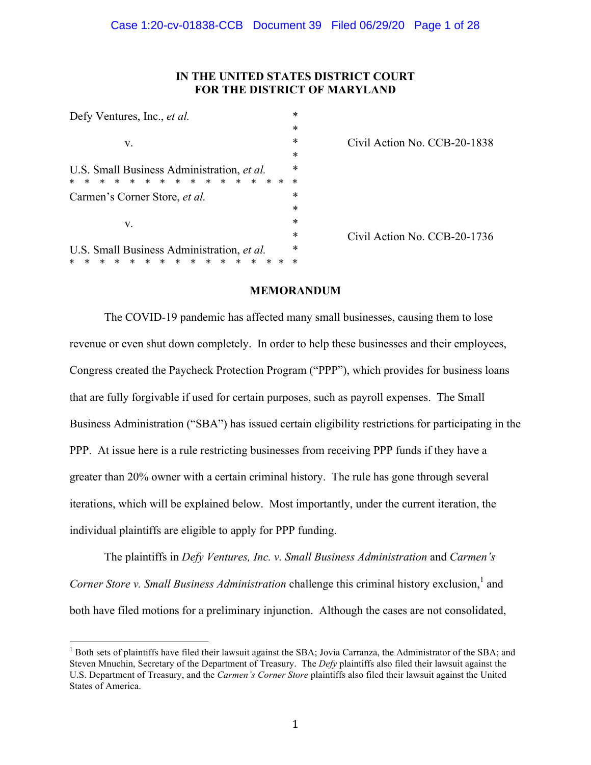## Case 1:20-cv-01838-CCB Document 39 Filed 06/29/20 Page 1 of 28

# **IN THE UNITED STATES DISTRICT COURT FOR THE DISTRICT OF MARYLAND**

| *<br>$\ast$<br>V.<br>$\ast$<br>*<br>$\ast$<br>$\ast$<br>$\ast$<br>$\ast$<br>$\ast$<br>$\ast$<br>$\ast$<br>$\ast$<br>$^\ast$<br>$^\ast$<br>$^\ast$<br>$^\ast$<br>$\ast$<br>$^\ast$<br>$\ast$<br>$\ast$<br>$\ast$<br>$\ast$<br>V.<br>*<br>*<br>$^\ast$<br>$^\ast$<br>$^\ast$<br>$\ast$<br>$^\ast$<br>$\ast$<br>$\ast$<br>ж<br>∗<br>∗<br>∗<br>ж | Defy Ventures, Inc., et al. | * |
|----------------------------------------------------------------------------------------------------------------------------------------------------------------------------------------------------------------------------------------------------------------------------------------------------------------------------------------------|-----------------------------|---|
| U.S. Small Business Administration, et al.<br>Carmen's Corner Store, et al.<br>U.S. Small Business Administration, et al.                                                                                                                                                                                                                    |                             |   |
|                                                                                                                                                                                                                                                                                                                                              |                             |   |
|                                                                                                                                                                                                                                                                                                                                              |                             |   |
|                                                                                                                                                                                                                                                                                                                                              |                             |   |
|                                                                                                                                                                                                                                                                                                                                              |                             |   |
|                                                                                                                                                                                                                                                                                                                                              |                             |   |
|                                                                                                                                                                                                                                                                                                                                              |                             |   |
|                                                                                                                                                                                                                                                                                                                                              |                             |   |
|                                                                                                                                                                                                                                                                                                                                              |                             |   |
|                                                                                                                                                                                                                                                                                                                                              |                             |   |
|                                                                                                                                                                                                                                                                                                                                              |                             |   |

Civil Action No. CCB-20-1838

Civil Action No. CCB-20-1736

#### **MEMORANDUM**

The COVID-19 pandemic has affected many small businesses, causing them to lose revenue or even shut down completely. In order to help these businesses and their employees, Congress created the Paycheck Protection Program ("PPP"), which provides for business loans that are fully forgivable if used for certain purposes, such as payroll expenses. The Small Business Administration ("SBA") has issued certain eligibility restrictions for participating in the PPP. At issue here is a rule restricting businesses from receiving PPP funds if they have a greater than 20% owner with a certain criminal history. The rule has gone through several iterations, which will be explained below. Most importantly, under the current iteration, the individual plaintiffs are eligible to apply for PPP funding.

The plaintiffs in *Defy Ventures, Inc. v. Small Business Administration* and *Carmen's*  Corner Store *v. Small Business Administration* challenge this criminal history exclusion,<sup>1</sup> and both have filed motions for a preliminary injunction. Although the cases are not consolidated,

<sup>&</sup>lt;sup>1</sup> Both sets of plaintiffs have filed their lawsuit against the SBA; Jovia Carranza, the Administrator of the SBA; and Steven Mnuchin, Secretary of the Department of Treasury. The *Defy* plaintiffs also filed their lawsuit against the U.S. Department of Treasury, and the *Carmen's Corner Store* plaintiffs also filed their lawsuit against the United States of America.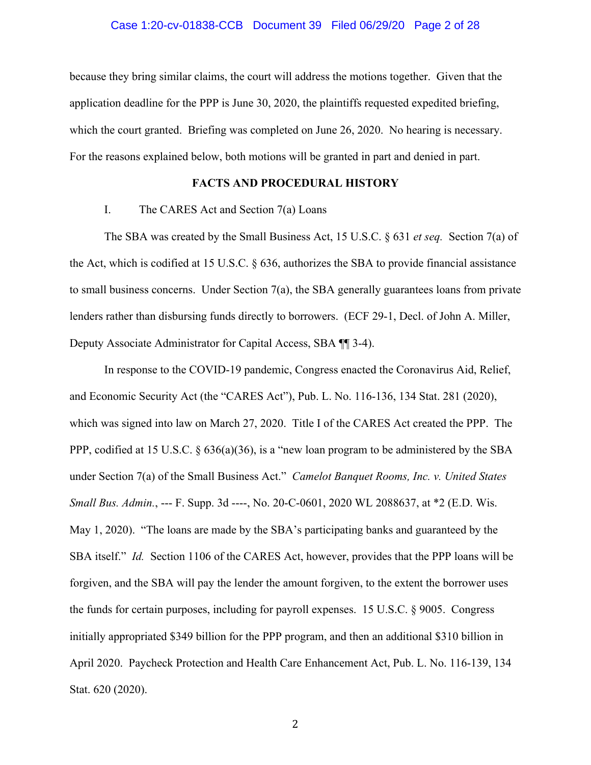## Case 1:20-cv-01838-CCB Document 39 Filed 06/29/20 Page 2 of 28

because they bring similar claims, the court will address the motions together. Given that the application deadline for the PPP is June 30, 2020, the plaintiffs requested expedited briefing, which the court granted. Briefing was completed on June 26, 2020. No hearing is necessary. For the reasons explained below, both motions will be granted in part and denied in part.

# **FACTS AND PROCEDURAL HISTORY**

# I. The CARES Act and Section 7(a) Loans

The SBA was created by the Small Business Act, 15 U.S.C. § 631 *et seq.* Section 7(a) of the Act, which is codified at 15 U.S.C. § 636, authorizes the SBA to provide financial assistance to small business concerns. Under Section 7(a), the SBA generally guarantees loans from private lenders rather than disbursing funds directly to borrowers. (ECF 29-1, Decl. of John A. Miller, Deputy Associate Administrator for Capital Access, SBA ¶¶ 3-4).

In response to the COVID-19 pandemic, Congress enacted the Coronavirus Aid, Relief, and Economic Security Act (the "CARES Act"), Pub. L. No. 116-136, 134 Stat. 281 (2020), which was signed into law on March 27, 2020. Title I of the CARES Act created the PPP. The PPP, codified at 15 U.S.C. § 636(a)(36), is a "new loan program to be administered by the SBA under Section 7(a) of the Small Business Act." *Camelot Banquet Rooms, Inc. v. United States Small Bus. Admin.*, --- F. Supp. 3d ----, No. 20-C-0601, 2020 WL 2088637, at \*2 (E.D. Wis. May 1, 2020). "The loans are made by the SBA's participating banks and guaranteed by the SBA itself." *Id.* Section 1106 of the CARES Act, however, provides that the PPP loans will be forgiven, and the SBA will pay the lender the amount forgiven, to the extent the borrower uses the funds for certain purposes, including for payroll expenses. 15 U.S.C. § 9005. Congress initially appropriated \$349 billion for the PPP program, and then an additional \$310 billion in April 2020. Paycheck Protection and Health Care Enhancement Act, Pub. L. No. 116-139, 134 Stat. 620 (2020).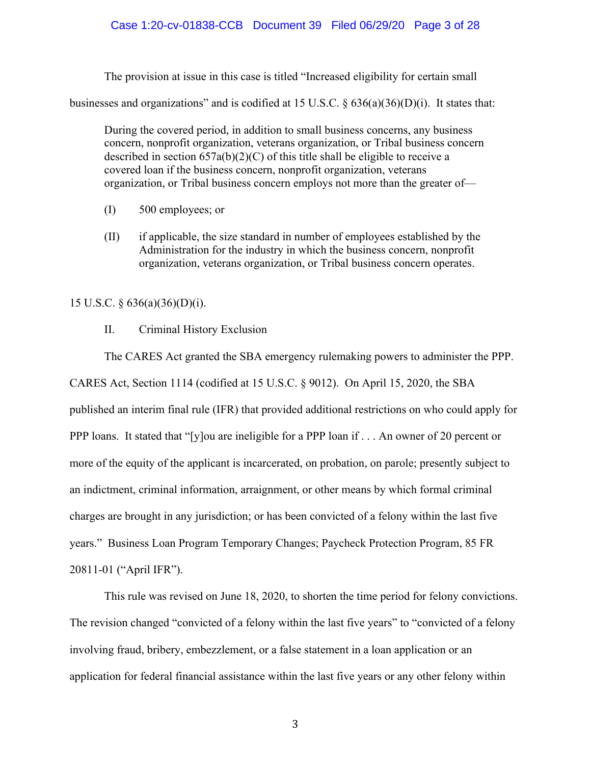The provision at issue in this case is titled "Increased eligibility for certain small

businesses and organizations" and is codified at 15 U.S.C.  $\S 636(a)(36)(D)(i)$ . It states that:

During the covered period, in addition to small business concerns, any business concern, nonprofit organization, veterans organization, or Tribal business concern described in section 657a(b)(2)(C) of this title shall be eligible to receive a covered loan if the business concern, nonprofit organization, veterans organization, or Tribal business concern employs not more than the greater of—

- (I) 500 employees; or
- (II) if applicable, the size standard in number of employees established by the Administration for the industry in which the business concern, nonprofit organization, veterans organization, or Tribal business concern operates.

15 U.S.C. § 636(a)(36)(D)(i).

II. Criminal History Exclusion

The CARES Act granted the SBA emergency rulemaking powers to administer the PPP.

CARES Act, Section 1114 (codified at 15 U.S.C. § 9012). On April 15, 2020, the SBA published an interim final rule (IFR) that provided additional restrictions on who could apply for PPP loans. It stated that "[y]ou are ineligible for a PPP loan if . . . An owner of 20 percent or more of the equity of the applicant is incarcerated, on probation, on parole; presently subject to an indictment, criminal information, arraignment, or other means by which formal criminal charges are brought in any jurisdiction; or has been convicted of a felony within the last five years." Business Loan Program Temporary Changes; Paycheck Protection Program, 85 FR 20811-01 ("April IFR").

This rule was revised on June 18, 2020, to shorten the time period for felony convictions. The revision changed "convicted of a felony within the last five years" to "convicted of a felony involving fraud, bribery, embezzlement, or a false statement in a loan application or an application for federal financial assistance within the last five years or any other felony within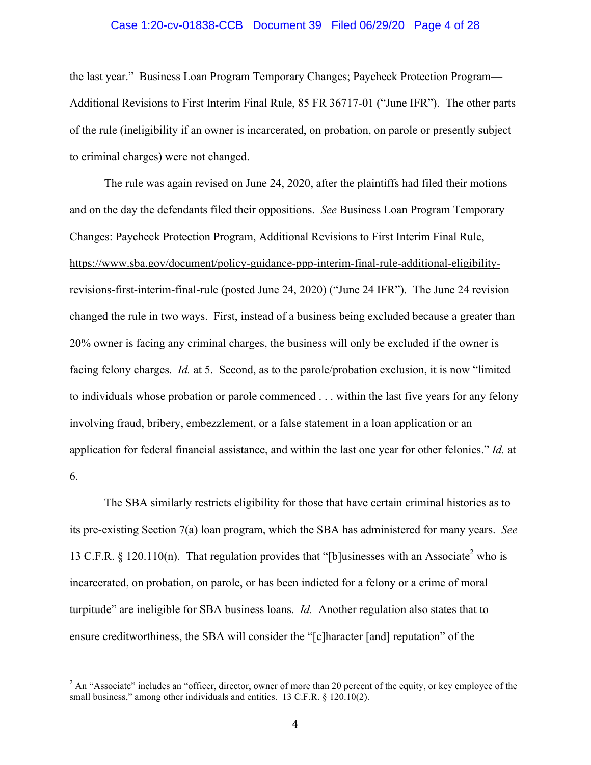## Case 1:20-cv-01838-CCB Document 39 Filed 06/29/20 Page 4 of 28

the last year." Business Loan Program Temporary Changes; Paycheck Protection Program— Additional Revisions to First Interim Final Rule, 85 FR 36717-01 ("June IFR"). The other parts of the rule (ineligibility if an owner is incarcerated, on probation, on parole or presently subject to criminal charges) were not changed.

The rule was again revised on June 24, 2020, after the plaintiffs had filed their motions and on the day the defendants filed their oppositions. *See* Business Loan Program Temporary Changes: Paycheck Protection Program, Additional Revisions to First Interim Final Rule, https://www.sba.gov/document/policy-guidance-ppp-interim-final-rule-additional-eligibilityrevisions-first-interim-final-rule (posted June 24, 2020) ("June 24 IFR"). The June 24 revision changed the rule in two ways. First, instead of a business being excluded because a greater than 20% owner is facing any criminal charges, the business will only be excluded if the owner is facing felony charges. *Id.* at 5. Second, as to the parole/probation exclusion, it is now "limited to individuals whose probation or parole commenced . . . within the last five years for any felony involving fraud, bribery, embezzlement, or a false statement in a loan application or an application for federal financial assistance, and within the last one year for other felonies." *Id.* at 6.

The SBA similarly restricts eligibility for those that have certain criminal histories as to its pre-existing Section 7(a) loan program, which the SBA has administered for many years. *See*  13 C.F.R. § 120.110(n). That regulation provides that "[b]usinesses with an Associate<sup>2</sup> who is incarcerated, on probation, on parole, or has been indicted for a felony or a crime of moral turpitude" are ineligible for SBA business loans. *Id.* Another regulation also states that to ensure creditworthiness, the SBA will consider the "[c]haracter [and] reputation" of the

<sup>&</sup>lt;sup>2</sup> An "Associate" includes an "officer, director, owner of more than 20 percent of the equity, or key employee of the small business," among other individuals and entities. 13 C.F.R. § 120.10(2).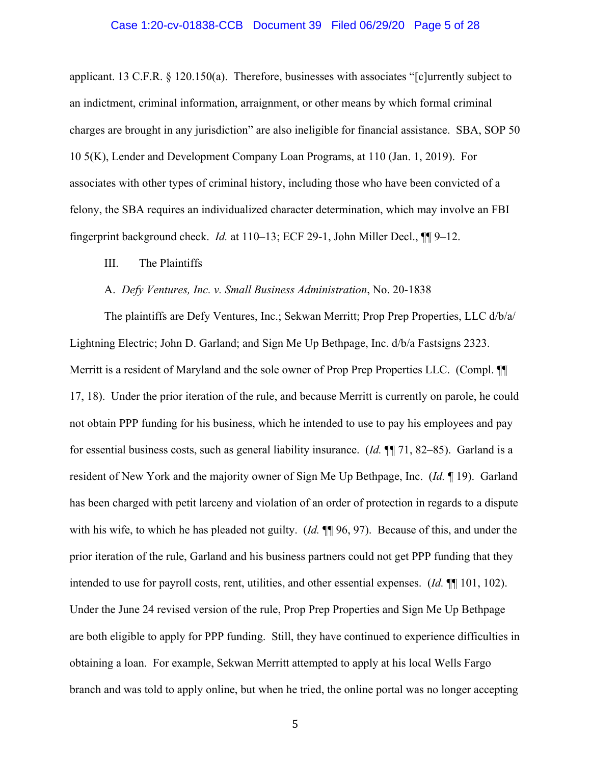## Case 1:20-cv-01838-CCB Document 39 Filed 06/29/20 Page 5 of 28

applicant. 13 C.F.R. § 120.150(a). Therefore, businesses with associates "[c]urrently subject to an indictment, criminal information, arraignment, or other means by which formal criminal charges are brought in any jurisdiction" are also ineligible for financial assistance. SBA, SOP 50 10 5(K), Lender and Development Company Loan Programs, at 110 (Jan. 1, 2019). For associates with other types of criminal history, including those who have been convicted of a felony, the SBA requires an individualized character determination, which may involve an FBI fingerprint background check. *Id.* at 110–13; ECF 29-1, John Miller Decl., ¶¶ 9–12.

#### III. The Plaintiffs

#### A. *Defy Ventures, Inc. v. Small Business Administration*, No. 20-1838

The plaintiffs are Defy Ventures, Inc.; Sekwan Merritt; Prop Prep Properties, LLC d/b/a/ Lightning Electric; John D. Garland; and Sign Me Up Bethpage, Inc. d/b/a Fastsigns 2323. Merritt is a resident of Maryland and the sole owner of Prop Prep Properties LLC. (Compl. ¶¶ 17, 18). Under the prior iteration of the rule, and because Merritt is currently on parole, he could not obtain PPP funding for his business, which he intended to use to pay his employees and pay for essential business costs, such as general liability insurance. (*Id.* ¶¶ 71, 82–85). Garland is a resident of New York and the majority owner of Sign Me Up Bethpage, Inc. (*Id.* ¶ 19). Garland has been charged with petit larceny and violation of an order of protection in regards to a dispute with his wife, to which he has pleaded not guilty. (*Id.*  $\mathbb{I}$  96, 97). Because of this, and under the prior iteration of the rule, Garland and his business partners could not get PPP funding that they intended to use for payroll costs, rent, utilities, and other essential expenses. (*Id.* ¶¶ 101, 102). Under the June 24 revised version of the rule, Prop Prep Properties and Sign Me Up Bethpage are both eligible to apply for PPP funding. Still, they have continued to experience difficulties in obtaining a loan. For example, Sekwan Merritt attempted to apply at his local Wells Fargo branch and was told to apply online, but when he tried, the online portal was no longer accepting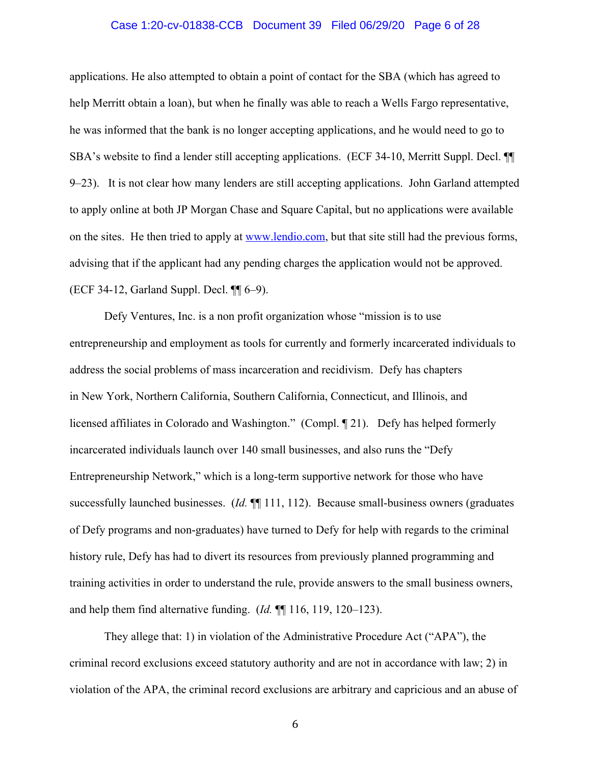## Case 1:20-cv-01838-CCB Document 39 Filed 06/29/20 Page 6 of 28

applications. He also attempted to obtain a point of contact for the SBA (which has agreed to help Merritt obtain a loan), but when he finally was able to reach a Wells Fargo representative, he was informed that the bank is no longer accepting applications, and he would need to go to SBA's website to find a lender still accepting applications. (ECF 34-10, Merritt Suppl. Decl. ¶¶ 9–23). It is not clear how many lenders are still accepting applications. John Garland attempted to apply online at both JP Morgan Chase and Square Capital, but no applications were available on the sites. He then tried to apply at www.lendio.com, but that site still had the previous forms, advising that if the applicant had any pending charges the application would not be approved. (ECF 34-12, Garland Suppl. Decl. ¶¶ 6–9).

Defy Ventures, Inc. is a non profit organization whose "mission is to use entrepreneurship and employment as tools for currently and formerly incarcerated individuals to address the social problems of mass incarceration and recidivism. Defy has chapters in New York, Northern California, Southern California, Connecticut, and Illinois, and licensed affiliates in Colorado and Washington." (Compl. ¶ 21). Defy has helped formerly incarcerated individuals launch over 140 small businesses, and also runs the "Defy Entrepreneurship Network," which is a long-term supportive network for those who have successfully launched businesses. (*Id.*  $\P$  111, 112). Because small-business owners (graduates of Defy programs and non-graduates) have turned to Defy for help with regards to the criminal history rule, Defy has had to divert its resources from previously planned programming and training activities in order to understand the rule, provide answers to the small business owners, and help them find alternative funding. (*Id.* ¶¶ 116, 119, 120–123).

They allege that: 1) in violation of the Administrative Procedure Act ("APA"), the criminal record exclusions exceed statutory authority and are not in accordance with law; 2) in violation of the APA, the criminal record exclusions are arbitrary and capricious and an abuse of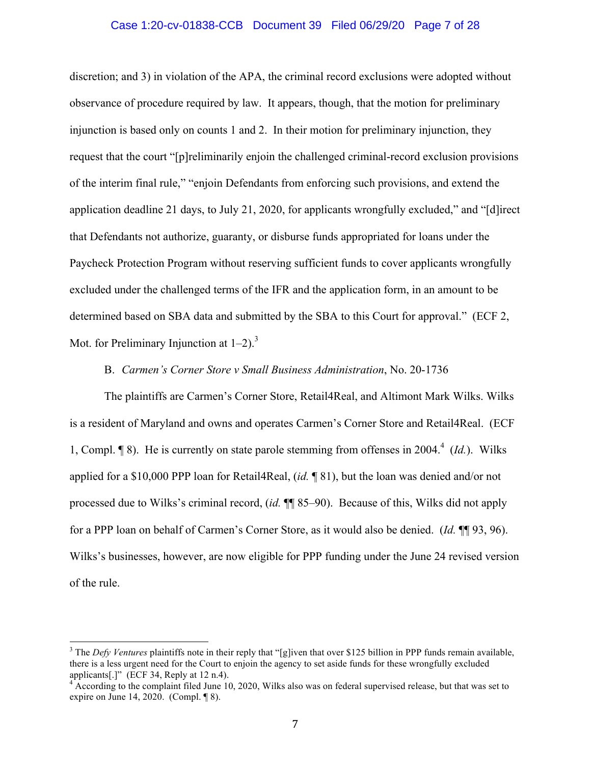## Case 1:20-cv-01838-CCB Document 39 Filed 06/29/20 Page 7 of 28

discretion; and 3) in violation of the APA, the criminal record exclusions were adopted without observance of procedure required by law. It appears, though, that the motion for preliminary injunction is based only on counts 1 and 2. In their motion for preliminary injunction, they request that the court "[p]reliminarily enjoin the challenged criminal-record exclusion provisions of the interim final rule," "enjoin Defendants from enforcing such provisions, and extend the application deadline 21 days, to July 21, 2020, for applicants wrongfully excluded," and "[d]irect that Defendants not authorize, guaranty, or disburse funds appropriated for loans under the Paycheck Protection Program without reserving sufficient funds to cover applicants wrongfully excluded under the challenged terms of the IFR and the application form, in an amount to be determined based on SBA data and submitted by the SBA to this Court for approval." (ECF 2, Mot. for Preliminary Injunction at  $1-2$ ).<sup>3</sup>

## B. *Carmen's Corner Store v Small Business Administration*, No. 20-1736

The plaintiffs are Carmen's Corner Store, Retail4Real, and Altimont Mark Wilks. Wilks is a resident of Maryland and owns and operates Carmen's Corner Store and Retail4Real. (ECF 1, Compl. ¶ 8). He is currently on state parole stemming from offenses in 2004.<sup>4</sup> (*Id.*). Wilks applied for a \$10,000 PPP loan for Retail4Real, (*id.* ¶ 81), but the loan was denied and/or not processed due to Wilks's criminal record, (*id.* ¶¶ 85–90). Because of this, Wilks did not apply for a PPP loan on behalf of Carmen's Corner Store, as it would also be denied. (*Id.* ¶¶ 93, 96). Wilks's businesses, however, are now eligible for PPP funding under the June 24 revised version of the rule.

<sup>&</sup>lt;sup>3</sup> The *Defy Ventures* plaintiffs note in their reply that "[g]iven that over \$125 billion in PPP funds remain available, there is a less urgent need for the Court to enjoin the agency to set aside funds for these wrongfully excluded applicants[.]" (ECF 34, Reply at  $12$  n.4).

 $4 \text{ According to the complaint field June 10, 2020, Wilks also was on federal supervised release, but that was set to$ expire on June 14, 2020. (Compl. ¶ 8).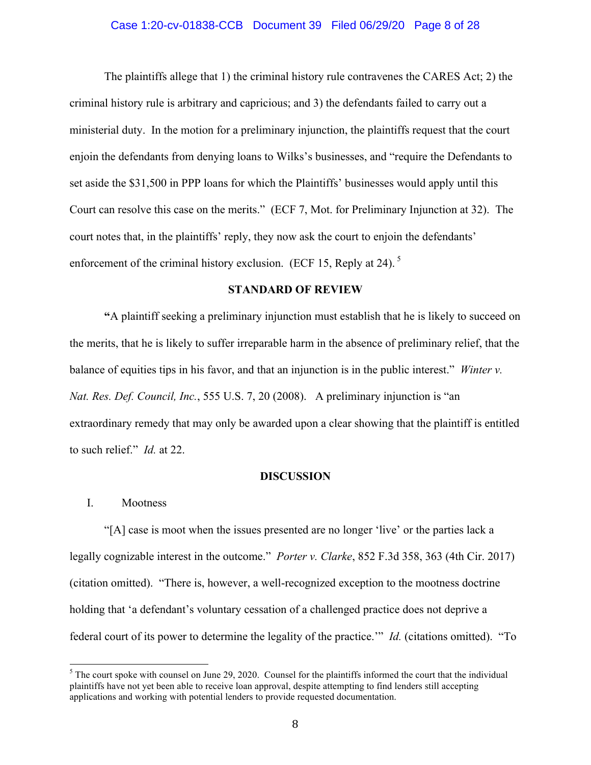## Case 1:20-cv-01838-CCB Document 39 Filed 06/29/20 Page 8 of 28

The plaintiffs allege that 1) the criminal history rule contravenes the CARES Act; 2) the criminal history rule is arbitrary and capricious; and 3) the defendants failed to carry out a ministerial duty. In the motion for a preliminary injunction, the plaintiffs request that the court enjoin the defendants from denying loans to Wilks's businesses, and "require the Defendants to set aside the \$31,500 in PPP loans for which the Plaintiffs' businesses would apply until this Court can resolve this case on the merits." (ECF 7, Mot. for Preliminary Injunction at 32). The court notes that, in the plaintiffs' reply, they now ask the court to enjoin the defendants' enforcement of the criminal history exclusion. (ECF 15, Reply at 24).<sup>5</sup>

#### **STANDARD OF REVIEW**

**"**A plaintiff seeking a preliminary injunction must establish that he is likely to succeed on the merits, that he is likely to suffer irreparable harm in the absence of preliminary relief, that the balance of equities tips in his favor, and that an injunction is in the public interest." *Winter v. Nat. Res. Def. Council, Inc.*, 555 U.S. 7, 20 (2008). A preliminary injunction is "an extraordinary remedy that may only be awarded upon a clear showing that the plaintiff is entitled to such relief." *Id.* at 22.

#### **DISCUSSION**

#### I. Mootness

"[A] case is moot when the issues presented are no longer 'live' or the parties lack a legally cognizable interest in the outcome." *Porter v. Clarke*, 852 F.3d 358, 363 (4th Cir. 2017) (citation omitted). "There is, however, a well-recognized exception to the mootness doctrine holding that 'a defendant's voluntary cessation of a challenged practice does not deprive a federal court of its power to determine the legality of the practice.'" *Id.* (citations omitted). "To

<sup>&</sup>lt;sup>5</sup> The court spoke with counsel on June 29, 2020. Counsel for the plaintiffs informed the court that the individual plaintiffs have not yet been able to receive loan approval, despite attempting to find lenders still accepting applications and working with potential lenders to provide requested documentation.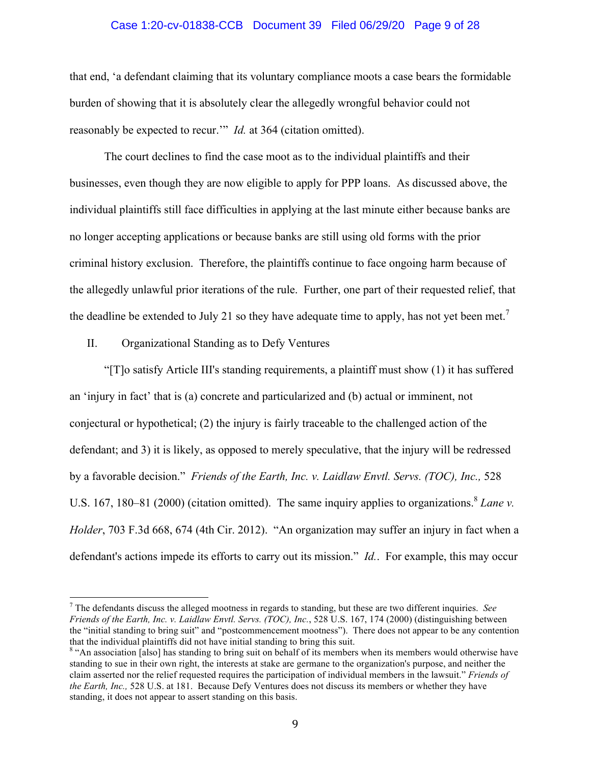## Case 1:20-cv-01838-CCB Document 39 Filed 06/29/20 Page 9 of 28

that end, 'a defendant claiming that its voluntary compliance moots a case bears the formidable burden of showing that it is absolutely clear the allegedly wrongful behavior could not reasonably be expected to recur.'" *Id.* at 364 (citation omitted).

The court declines to find the case moot as to the individual plaintiffs and their businesses, even though they are now eligible to apply for PPP loans. As discussed above, the individual plaintiffs still face difficulties in applying at the last minute either because banks are no longer accepting applications or because banks are still using old forms with the prior criminal history exclusion. Therefore, the plaintiffs continue to face ongoing harm because of the allegedly unlawful prior iterations of the rule. Further, one part of their requested relief, that the deadline be extended to July 21 so they have adequate time to apply, has not yet been met.<sup>7</sup>

## II. Organizational Standing as to Defy Ventures

"[T]o satisfy Article III's standing requirements, a plaintiff must show (1) it has suffered an 'injury in fact' that is (a) concrete and particularized and (b) actual or imminent, not conjectural or hypothetical; (2) the injury is fairly traceable to the challenged action of the defendant; and 3) it is likely, as opposed to merely speculative, that the injury will be redressed by a favorable decision." *Friends of the Earth, Inc. v. Laidlaw Envtl. Servs. (TOC), Inc.,* 528 U.S. 167, 180–81 (2000) (citation omitted). The same inquiry applies to organizations.<sup>8</sup> Lane v. *Holder*, 703 F.3d 668, 674 (4th Cir. 2012). "An organization may suffer an injury in fact when a defendant's actions impede its efforts to carry out its mission." *Id.*. For example, this may occur

 <sup>7</sup> The defendants discuss the alleged mootness in regards to standing, but these are two different inquiries. *See Friends of the Earth, Inc. v. Laidlaw Envtl. Servs. (TOC), Inc.*, 528 U.S. 167, 174 (2000) (distinguishing between the "initial standing to bring suit" and "postcommencement mootness"). There does not appear to be any contention that the individual plaintiffs did not have initial standing to bring this suit.

<sup>&</sup>lt;sup>8</sup> "An association [also] has standing to bring suit on behalf of its members when its members would otherwise have standing to sue in their own right, the interests at stake are germane to the organization's purpose, and neither the claim asserted nor the relief requested requires the participation of individual members in the lawsuit." *Friends of the Earth, Inc.,* 528 U.S. at 181. Because Defy Ventures does not discuss its members or whether they have standing, it does not appear to assert standing on this basis.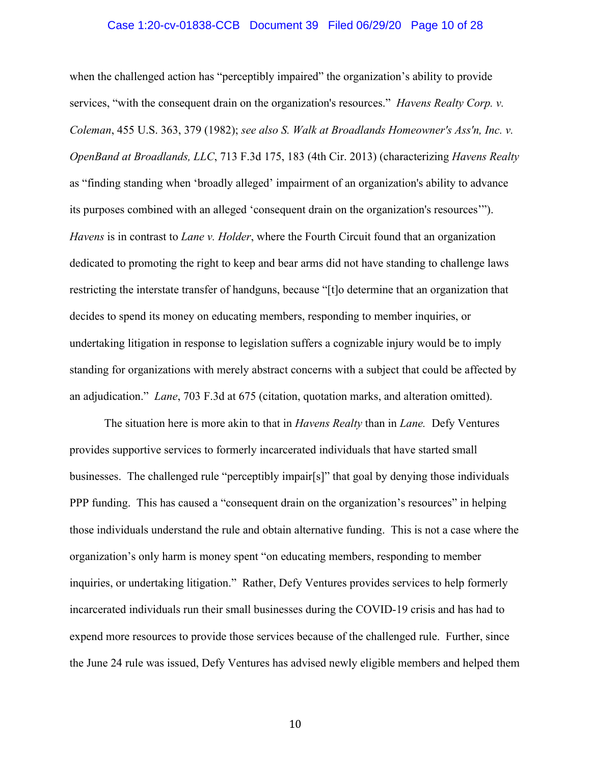## Case 1:20-cv-01838-CCB Document 39 Filed 06/29/20 Page 10 of 28

when the challenged action has "perceptibly impaired" the organization's ability to provide services, "with the consequent drain on the organization's resources." *Havens Realty Corp. v. Coleman*, 455 U.S. 363, 379 (1982); *see also S. Walk at Broadlands Homeowner's Ass'n, Inc. v. OpenBand at Broadlands, LLC*, 713 F.3d 175, 183 (4th Cir. 2013) (characterizing *Havens Realty*  as "finding standing when 'broadly alleged' impairment of an organization's ability to advance its purposes combined with an alleged 'consequent drain on the organization's resources'"). *Havens* is in contrast to *Lane v. Holder*, where the Fourth Circuit found that an organization dedicated to promoting the right to keep and bear arms did not have standing to challenge laws restricting the interstate transfer of handguns, because "[t]o determine that an organization that decides to spend its money on educating members, responding to member inquiries, or undertaking litigation in response to legislation suffers a cognizable injury would be to imply standing for organizations with merely abstract concerns with a subject that could be affected by an adjudication." *Lane*, 703 F.3d at 675 (citation, quotation marks, and alteration omitted).

The situation here is more akin to that in *Havens Realty* than in *Lane.* Defy Ventures provides supportive services to formerly incarcerated individuals that have started small businesses. The challenged rule "perceptibly impair[s]" that goal by denying those individuals PPP funding. This has caused a "consequent drain on the organization's resources" in helping those individuals understand the rule and obtain alternative funding. This is not a case where the organization's only harm is money spent "on educating members, responding to member inquiries, or undertaking litigation." Rather, Defy Ventures provides services to help formerly incarcerated individuals run their small businesses during the COVID-19 crisis and has had to expend more resources to provide those services because of the challenged rule. Further, since the June 24 rule was issued, Defy Ventures has advised newly eligible members and helped them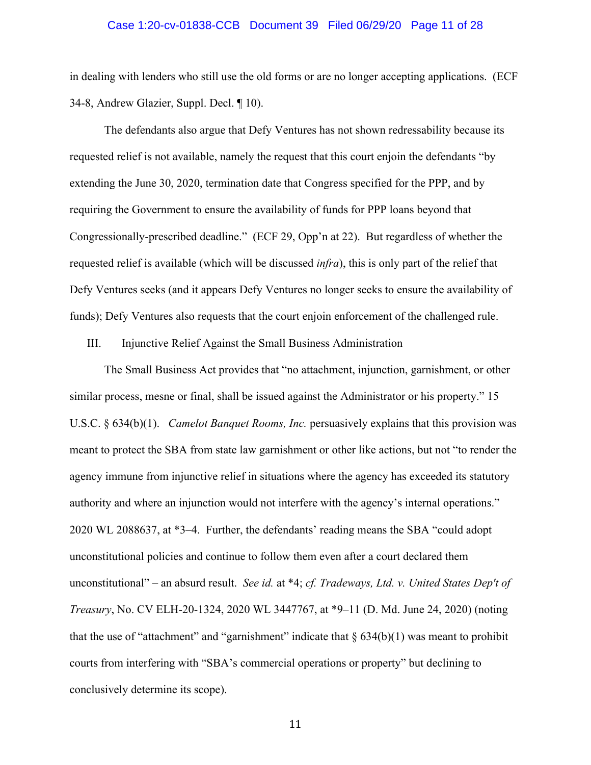### Case 1:20-cv-01838-CCB Document 39 Filed 06/29/20 Page 11 of 28

in dealing with lenders who still use the old forms or are no longer accepting applications. (ECF 34-8, Andrew Glazier, Suppl. Decl. ¶ 10).

The defendants also argue that Defy Ventures has not shown redressability because its requested relief is not available, namely the request that this court enjoin the defendants "by extending the June 30, 2020, termination date that Congress specified for the PPP, and by requiring the Government to ensure the availability of funds for PPP loans beyond that Congressionally-prescribed deadline." (ECF 29, Opp'n at 22). But regardless of whether the requested relief is available (which will be discussed *infra*), this is only part of the relief that Defy Ventures seeks (and it appears Defy Ventures no longer seeks to ensure the availability of funds); Defy Ventures also requests that the court enjoin enforcement of the challenged rule.

III. Injunctive Relief Against the Small Business Administration

The Small Business Act provides that "no attachment, injunction, garnishment, or other similar process, mesne or final, shall be issued against the Administrator or his property." 15 U.S.C. § 634(b)(1). *Camelot Banquet Rooms, Inc.* persuasively explains that this provision was meant to protect the SBA from state law garnishment or other like actions, but not "to render the agency immune from injunctive relief in situations where the agency has exceeded its statutory authority and where an injunction would not interfere with the agency's internal operations." 2020 WL 2088637, at \*3–4. Further, the defendants' reading means the SBA "could adopt unconstitutional policies and continue to follow them even after a court declared them unconstitutional" – an absurd result. *See id.* at \*4; *cf. Tradeways, Ltd. v. United States Dep't of Treasury*, No. CV ELH-20-1324, 2020 WL 3447767, at \*9–11 (D. Md. June 24, 2020) (noting that the use of "attachment" and "garnishment" indicate that  $\S$  634(b)(1) was meant to prohibit courts from interfering with "SBA's commercial operations or property" but declining to conclusively determine its scope).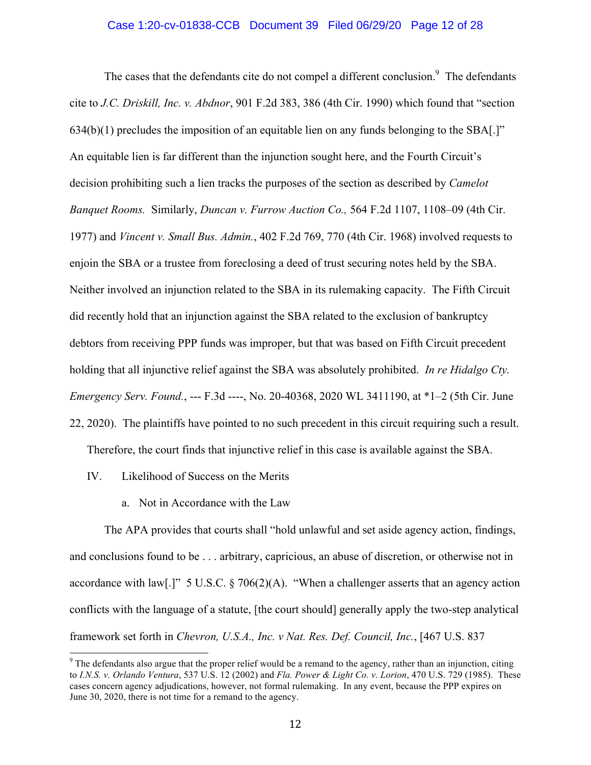## Case 1:20-cv-01838-CCB Document 39 Filed 06/29/20 Page 12 of 28

The cases that the defendants cite do not compel a different conclusion. $9\text{ The defendants}$ cite to *J.C. Driskill, Inc. v. Abdnor*, 901 F.2d 383, 386 (4th Cir. 1990) which found that "section  $634(b)(1)$  precludes the imposition of an equitable lien on any funds belonging to the SBA[.]" An equitable lien is far different than the injunction sought here, and the Fourth Circuit's decision prohibiting such a lien tracks the purposes of the section as described by *Camelot Banquet Rooms.* Similarly, *Duncan v. Furrow Auction Co.,* 564 F.2d 1107, 1108–09 (4th Cir. 1977) and *Vincent v. Small Bus. Admin.*, 402 F.2d 769, 770 (4th Cir. 1968) involved requests to enjoin the SBA or a trustee from foreclosing a deed of trust securing notes held by the SBA. Neither involved an injunction related to the SBA in its rulemaking capacity. The Fifth Circuit did recently hold that an injunction against the SBA related to the exclusion of bankruptcy debtors from receiving PPP funds was improper, but that was based on Fifth Circuit precedent holding that all injunctive relief against the SBA was absolutely prohibited. *In re Hidalgo Cty. Emergency Serv. Found.*, --- F.3d ----, No. 20-40368, 2020 WL 3411190, at \*1–2 (5th Cir. June 22, 2020). The plaintiffs have pointed to no such precedent in this circuit requiring such a result. Therefore, the court finds that injunctive relief in this case is available against the SBA.

- IV. Likelihood of Success on the Merits
	- a. Not in Accordance with the Law

The APA provides that courts shall "hold unlawful and set aside agency action, findings, and conclusions found to be . . . arbitrary, capricious, an abuse of discretion, or otherwise not in accordance with law[.]" 5 U.S.C. § 706(2)(A). "When a challenger asserts that an agency action conflicts with the language of a statute, [the court should] generally apply the two-step analytical framework set forth in *Chevron, U.S.A., Inc. v Nat. Res. Def. Council, Inc.*, [467 U.S. 837

<sup>&</sup>lt;sup>9</sup> The defendants also argue that the proper relief would be a remand to the agency, rather than an injunction, citing to *I.N.S. v. Orlando Ventura*, 537 U.S. 12 (2002) and *Fla. Power & Light Co. v. Lorion*, 470 U.S. 729 (1985). These cases concern agency adjudications, however, not formal rulemaking. In any event, because the PPP expires on June 30, 2020, there is not time for a remand to the agency.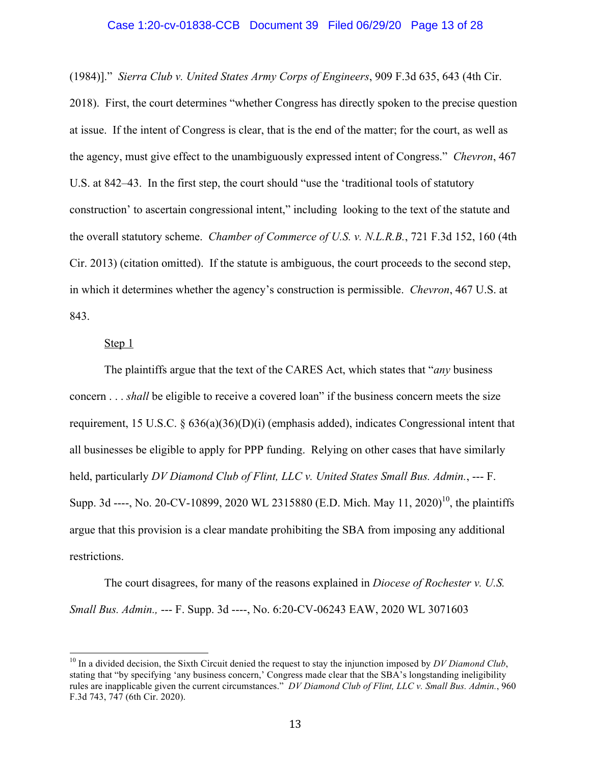## Case 1:20-cv-01838-CCB Document 39 Filed 06/29/20 Page 13 of 28

(1984)]." *Sierra Club v. United States Army Corps of Engineers*, 909 F.3d 635, 643 (4th Cir. 2018). First, the court determines "whether Congress has directly spoken to the precise question at issue. If the intent of Congress is clear, that is the end of the matter; for the court, as well as the agency, must give effect to the unambiguously expressed intent of Congress." *Chevron*, 467 U.S. at 842–43. In the first step, the court should "use the 'traditional tools of statutory construction' to ascertain congressional intent," including looking to the text of the statute and the overall statutory scheme. *Chamber of Commerce of U.S. v. N.L.R.B.*, 721 F.3d 152, 160 (4th Cir. 2013) (citation omitted). If the statute is ambiguous, the court proceeds to the second step, in which it determines whether the agency's construction is permissible. *Chevron*, 467 U.S. at 843.

#### Step 1

The plaintiffs argue that the text of the CARES Act, which states that "*any* business concern . . . *shall* be eligible to receive a covered loan" if the business concern meets the size requirement, 15 U.S.C. § 636(a)(36)(D)(i) (emphasis added), indicates Congressional intent that all businesses be eligible to apply for PPP funding. Relying on other cases that have similarly held, particularly *DV Diamond Club of Flint, LLC v. United States Small Bus. Admin.*, --- F. Supp. 3d ----, No. 20-CV-10899, 2020 WL 2315880 (E.D. Mich. May 11, 2020)<sup>10</sup>, the plaintiffs argue that this provision is a clear mandate prohibiting the SBA from imposing any additional restrictions.

The court disagrees, for many of the reasons explained in *Diocese of Rochester v. U.S. Small Bus. Admin.,* --- F. Supp. 3d ----, No. 6:20-CV-06243 EAW, 2020 WL 3071603

 10 In a divided decision, the Sixth Circuit denied the request to stay the injunction imposed by *DV Diamond Club*, stating that "by specifying 'any business concern,' Congress made clear that the SBA's longstanding ineligibility rules are inapplicable given the current circumstances." *DV Diamond Club of Flint, LLC v. Small Bus. Admin.*, 960 F.3d 743, 747 (6th Cir. 2020).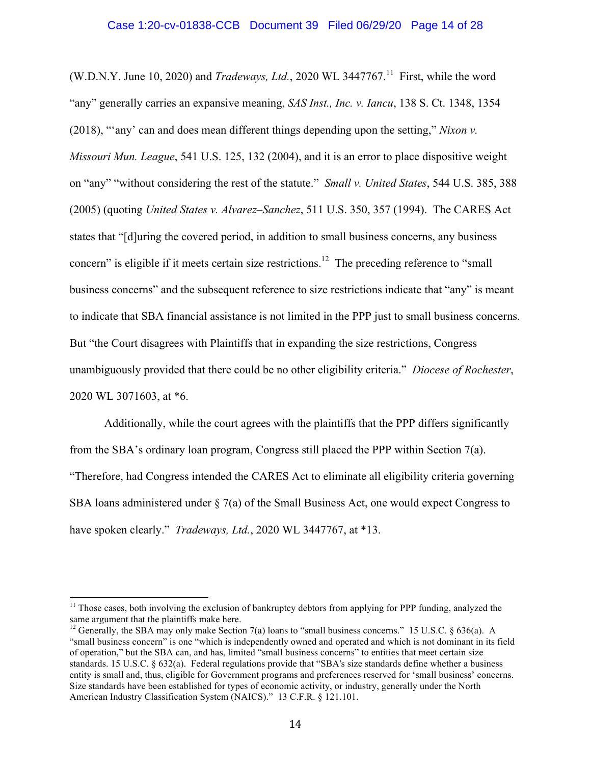#### Case 1:20-cv-01838-CCB Document 39 Filed 06/29/20 Page 14 of 28

(W.D.N.Y. June 10, 2020) and *Tradeways, Ltd.*, 2020 WL 3447767.<sup>11</sup> First, while the word "any" generally carries an expansive meaning, *SAS Inst., Inc. v. Iancu*, 138 S. Ct. 1348, 1354 (2018), "'any' can and does mean different things depending upon the setting," *Nixon v. Missouri Mun. League*, 541 U.S. 125, 132 (2004), and it is an error to place dispositive weight on "any" "without considering the rest of the statute." *Small v. United States*, 544 U.S. 385, 388 (2005) (quoting *United States v. Alvarez–Sanchez*, 511 U.S. 350, 357 (1994). The CARES Act states that "[d]uring the covered period, in addition to small business concerns, any business concern" is eligible if it meets certain size restrictions.<sup>12</sup> The preceding reference to "small" business concerns" and the subsequent reference to size restrictions indicate that "any" is meant to indicate that SBA financial assistance is not limited in the PPP just to small business concerns. But "the Court disagrees with Plaintiffs that in expanding the size restrictions, Congress unambiguously provided that there could be no other eligibility criteria." *Diocese of Rochester*, 2020 WL 3071603, at \*6.

Additionally, while the court agrees with the plaintiffs that the PPP differs significantly from the SBA's ordinary loan program, Congress still placed the PPP within Section 7(a). "Therefore, had Congress intended the CARES Act to eliminate all eligibility criteria governing SBA loans administered under § 7(a) of the Small Business Act, one would expect Congress to have spoken clearly." *Tradeways, Ltd.*, 2020 WL 3447767, at \*13.

 $11$  Those cases, both involving the exclusion of bankruptcy debtors from applying for PPP funding, analyzed the same argument that the plaintiffs make here.

<sup>&</sup>lt;sup>12</sup> Generally, the SBA may only make Section 7(a) loans to "small business concerns." 15 U.S.C. § 636(a). A "small business concern" is one "which is independently owned and operated and which is not dominant in its field of operation," but the SBA can, and has, limited "small business concerns" to entities that meet certain size standards. 15 U.S.C. § 632(a). Federal regulations provide that "SBA's size standards define whether a business entity is small and, thus, eligible for Government programs and preferences reserved for 'small business' concerns. Size standards have been established for types of economic activity, or industry, generally under the North American Industry Classification System (NAICS)." 13 C.F.R. § 121.101.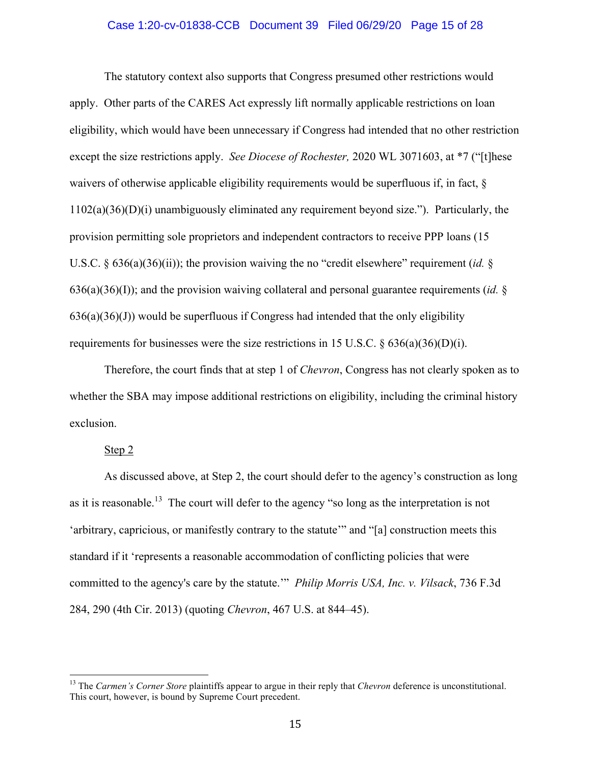## Case 1:20-cv-01838-CCB Document 39 Filed 06/29/20 Page 15 of 28

The statutory context also supports that Congress presumed other restrictions would apply. Other parts of the CARES Act expressly lift normally applicable restrictions on loan eligibility, which would have been unnecessary if Congress had intended that no other restriction except the size restrictions apply. *See Diocese of Rochester,* 2020 WL 3071603, at \*7 ("[t]hese waivers of otherwise applicable eligibility requirements would be superfluous if, in fact,  $\&$  $1102(a)(36)(D)(i)$  unambiguously eliminated any requirement beyond size."). Particularly, the provision permitting sole proprietors and independent contractors to receive PPP loans (15 U.S.C. § 636(a)(36)(ii)); the provision waiving the no "credit elsewhere" requirement (*id.* § 636(a)(36)(I)); and the provision waiving collateral and personal guarantee requirements (*id.* §  $636(a)(36)(J)$ ) would be superfluous if Congress had intended that the only eligibility requirements for businesses were the size restrictions in 15 U.S.C.  $\S 636(a)(36)(D)(i)$ .

Therefore, the court finds that at step 1 of *Chevron*, Congress has not clearly spoken as to whether the SBA may impose additional restrictions on eligibility, including the criminal history exclusion.

## Step 2

As discussed above, at Step 2, the court should defer to the agency's construction as long as it is reasonable.<sup>13</sup> The court will defer to the agency "so long as the interpretation is not 'arbitrary, capricious, or manifestly contrary to the statute'" and "[a] construction meets this standard if it 'represents a reasonable accommodation of conflicting policies that were committed to the agency's care by the statute.'" *Philip Morris USA, Inc. v. Vilsack*, 736 F.3d 284, 290 (4th Cir. 2013) (quoting *Chevron*, 467 U.S. at 844–45).

 13 The *Carmen's Corner Store* plaintiffs appear to argue in their reply that *Chevron* deference is unconstitutional. This court, however, is bound by Supreme Court precedent.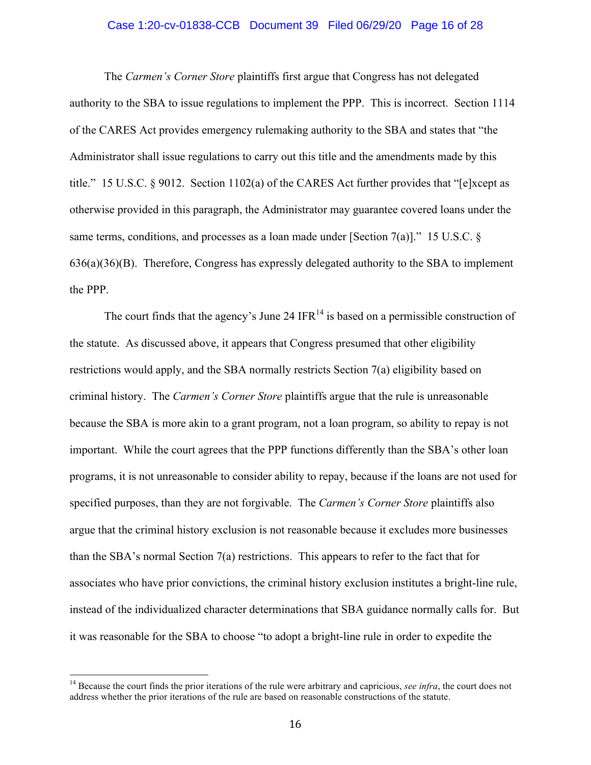## Case 1:20-cv-01838-CCB Document 39 Filed 06/29/20 Page 16 of 28

The *Carmen's Corner Store* plaintiffs first argue that Congress has not delegated authority to the SBA to issue regulations to implement the PPP. This is incorrect. Section 1114 of the CARES Act provides emergency rulemaking authority to the SBA and states that "the Administrator shall issue regulations to carry out this title and the amendments made by this title." 15 U.S.C. § 9012. Section 1102(a) of the CARES Act further provides that "[e]xcept as otherwise provided in this paragraph, the Administrator may guarantee covered loans under the same terms, conditions, and processes as a loan made under [Section 7(a)]." 15 U.S.C. § 636(a)(36)(B). Therefore, Congress has expressly delegated authority to the SBA to implement the PPP.

The court finds that the agency's June 24  $IFR<sup>14</sup>$  is based on a permissible construction of the statute. As discussed above, it appears that Congress presumed that other eligibility restrictions would apply, and the SBA normally restricts Section 7(a) eligibility based on criminal history. The *Carmen's Corner Store* plaintiffs argue that the rule is unreasonable because the SBA is more akin to a grant program, not a loan program, so ability to repay is not important. While the court agrees that the PPP functions differently than the SBA's other loan programs, it is not unreasonable to consider ability to repay, because if the loans are not used for specified purposes, than they are not forgivable. The *Carmen's Corner Store* plaintiffs also argue that the criminal history exclusion is not reasonable because it excludes more businesses than the SBA's normal Section 7(a) restrictions. This appears to refer to the fact that for associates who have prior convictions, the criminal history exclusion institutes a bright-line rule, instead of the individualized character determinations that SBA guidance normally calls for. But it was reasonable for the SBA to choose "to adopt a bright-line rule in order to expedite the

<sup>&</sup>lt;sup>14</sup> Because the court finds the prior iterations of the rule were arbitrary and capricious, *see infra*, the court does not address whether the prior iterations of the rule are based on reasonable constructions of the statute.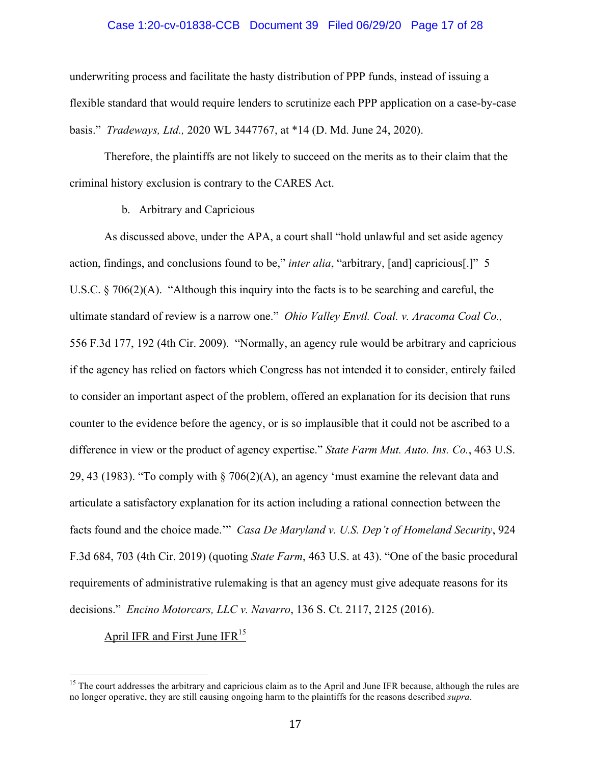## Case 1:20-cv-01838-CCB Document 39 Filed 06/29/20 Page 17 of 28

underwriting process and facilitate the hasty distribution of PPP funds, instead of issuing a flexible standard that would require lenders to scrutinize each PPP application on a case-by-case basis." *Tradeways, Ltd.,* 2020 WL 3447767, at \*14 (D. Md. June 24, 2020).

Therefore, the plaintiffs are not likely to succeed on the merits as to their claim that the criminal history exclusion is contrary to the CARES Act.

## b. Arbitrary and Capricious

As discussed above, under the APA, a court shall "hold unlawful and set aside agency action, findings, and conclusions found to be," *inter alia*, "arbitrary, [and] capricious[.]" 5 U.S.C. § 706(2)(A). "Although this inquiry into the facts is to be searching and careful, the ultimate standard of review is a narrow one." *Ohio Valley Envtl. Coal. v. Aracoma Coal Co.,* 556 F.3d 177, 192 (4th Cir. 2009). "Normally, an agency rule would be arbitrary and capricious if the agency has relied on factors which Congress has not intended it to consider, entirely failed to consider an important aspect of the problem, offered an explanation for its decision that runs counter to the evidence before the agency, or is so implausible that it could not be ascribed to a difference in view or the product of agency expertise." *State Farm Mut. Auto. Ins. Co.*, 463 U.S. 29, 43 (1983). "To comply with § 706(2)(A), an agency 'must examine the relevant data and articulate a satisfactory explanation for its action including a rational connection between the facts found and the choice made.'" *Casa De Maryland v. U.S. Dep't of Homeland Security*, 924 F.3d 684, 703 (4th Cir. 2019) (quoting *State Farm*, 463 U.S. at 43). "One of the basic procedural requirements of administrative rulemaking is that an agency must give adequate reasons for its decisions." *Encino Motorcars, LLC v. Navarro*, 136 S. Ct. 2117, 2125 (2016).

April IFR and First June IFR<sup>15</sup>

 $15$  The court addresses the arbitrary and capricious claim as to the April and June IFR because, although the rules are no longer operative, they are still causing ongoing harm to the plaintiffs for the reasons described *supra*.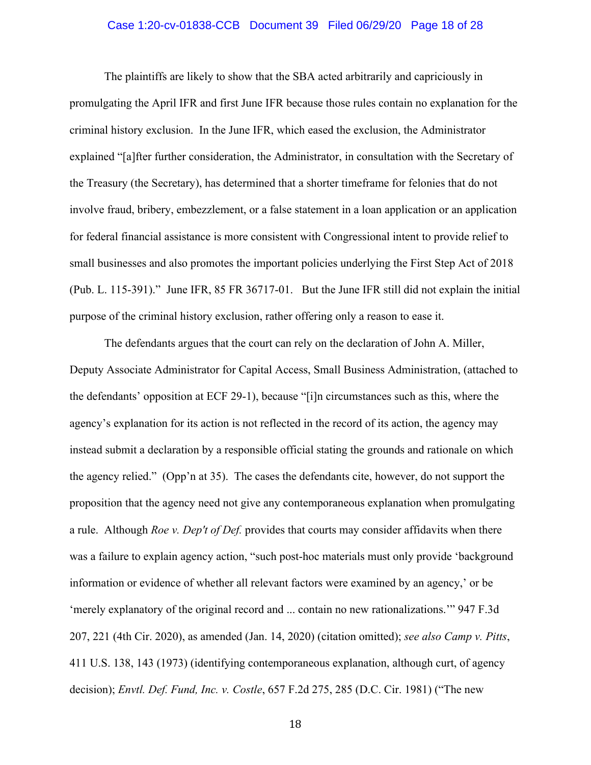## Case 1:20-cv-01838-CCB Document 39 Filed 06/29/20 Page 18 of 28

The plaintiffs are likely to show that the SBA acted arbitrarily and capriciously in promulgating the April IFR and first June IFR because those rules contain no explanation for the criminal history exclusion. In the June IFR, which eased the exclusion, the Administrator explained "[a]fter further consideration, the Administrator, in consultation with the Secretary of the Treasury (the Secretary), has determined that a shorter timeframe for felonies that do not involve fraud, bribery, embezzlement, or a false statement in a loan application or an application for federal financial assistance is more consistent with Congressional intent to provide relief to small businesses and also promotes the important policies underlying the First Step Act of 2018 (Pub. L. 115-391)." June IFR, 85 FR 36717-01. But the June IFR still did not explain the initial purpose of the criminal history exclusion, rather offering only a reason to ease it.

The defendants argues that the court can rely on the declaration of John A. Miller, Deputy Associate Administrator for Capital Access, Small Business Administration, (attached to the defendants' opposition at ECF 29-1), because "[i]n circumstances such as this, where the agency's explanation for its action is not reflected in the record of its action, the agency may instead submit a declaration by a responsible official stating the grounds and rationale on which the agency relied." (Opp'n at 35). The cases the defendants cite, however, do not support the proposition that the agency need not give any contemporaneous explanation when promulgating a rule. Although *Roe v. Dep't of Def.* provides that courts may consider affidavits when there was a failure to explain agency action, "such post-hoc materials must only provide 'background information or evidence of whether all relevant factors were examined by an agency,' or be 'merely explanatory of the original record and ... contain no new rationalizations.'" 947 F.3d 207, 221 (4th Cir. 2020), as amended (Jan. 14, 2020) (citation omitted); *see also Camp v. Pitts*, 411 U.S. 138, 143 (1973) (identifying contemporaneous explanation, although curt, of agency decision); *Envtl. Def. Fund, Inc. v. Costle*, 657 F.2d 275, 285 (D.C. Cir. 1981) ("The new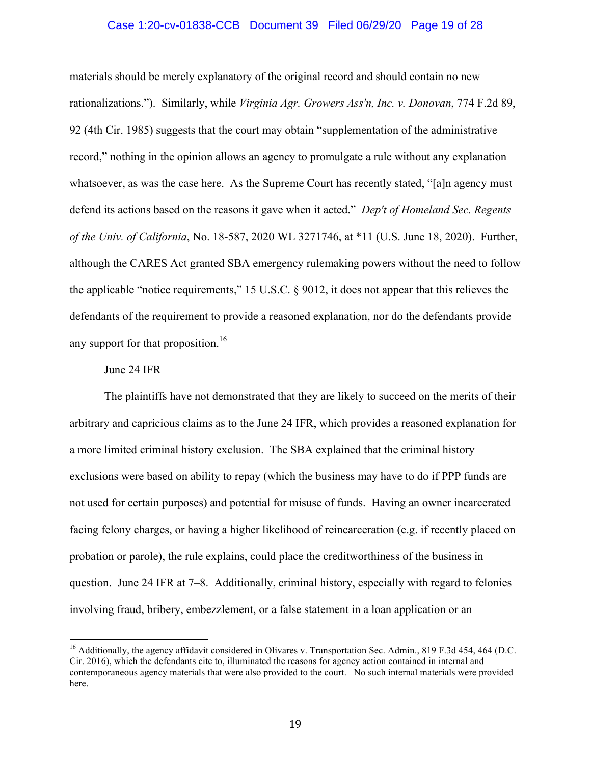## Case 1:20-cv-01838-CCB Document 39 Filed 06/29/20 Page 19 of 28

materials should be merely explanatory of the original record and should contain no new rationalizations."). Similarly, while *Virginia Agr. Growers Ass'n, Inc. v. Donovan*, 774 F.2d 89, 92 (4th Cir. 1985) suggests that the court may obtain "supplementation of the administrative record," nothing in the opinion allows an agency to promulgate a rule without any explanation whatsoever, as was the case here. As the Supreme Court has recently stated, "[a]n agency must defend its actions based on the reasons it gave when it acted." *Dep't of Homeland Sec. Regents of the Univ. of California*, No. 18-587, 2020 WL 3271746, at \*11 (U.S. June 18, 2020). Further, although the CARES Act granted SBA emergency rulemaking powers without the need to follow the applicable "notice requirements," 15 U.S.C. § 9012, it does not appear that this relieves the defendants of the requirement to provide a reasoned explanation, nor do the defendants provide any support for that proposition.<sup>16</sup>

## June 24 IFR

The plaintiffs have not demonstrated that they are likely to succeed on the merits of their arbitrary and capricious claims as to the June 24 IFR, which provides a reasoned explanation for a more limited criminal history exclusion. The SBA explained that the criminal history exclusions were based on ability to repay (which the business may have to do if PPP funds are not used for certain purposes) and potential for misuse of funds. Having an owner incarcerated facing felony charges, or having a higher likelihood of reincarceration (e.g. if recently placed on probation or parole), the rule explains, could place the creditworthiness of the business in question. June 24 IFR at 7–8. Additionally, criminal history, especially with regard to felonies involving fraud, bribery, embezzlement, or a false statement in a loan application or an

<sup>&</sup>lt;sup>16</sup> Additionally, the agency affidavit considered in Olivares v. Transportation Sec. Admin., 819 F.3d 454, 464 (D.C. Cir. 2016), which the defendants cite to, illuminated the reasons for agency action contained in internal and contemporaneous agency materials that were also provided to the court. No such internal materials were provided here.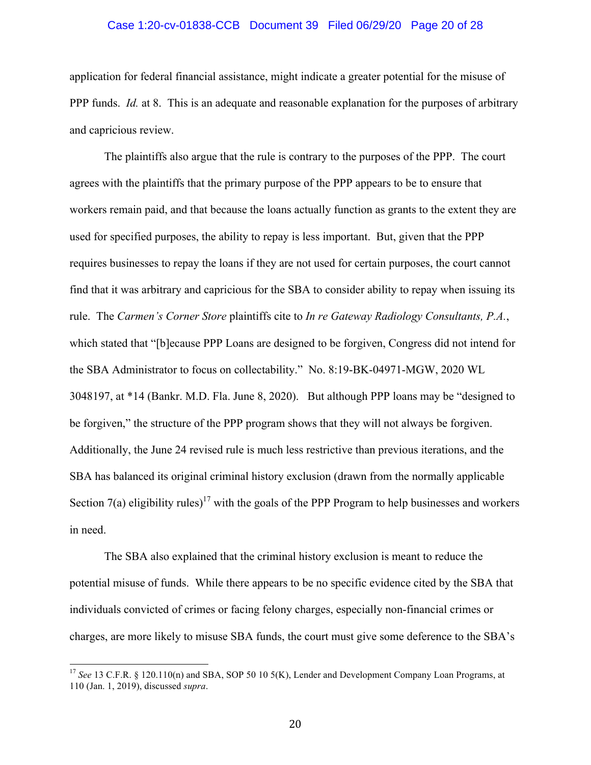## Case 1:20-cv-01838-CCB Document 39 Filed 06/29/20 Page 20 of 28

application for federal financial assistance, might indicate a greater potential for the misuse of PPP funds. *Id.* at 8. This is an adequate and reasonable explanation for the purposes of arbitrary and capricious review.

The plaintiffs also argue that the rule is contrary to the purposes of the PPP. The court agrees with the plaintiffs that the primary purpose of the PPP appears to be to ensure that workers remain paid, and that because the loans actually function as grants to the extent they are used for specified purposes, the ability to repay is less important. But, given that the PPP requires businesses to repay the loans if they are not used for certain purposes, the court cannot find that it was arbitrary and capricious for the SBA to consider ability to repay when issuing its rule. The *Carmen's Corner Store* plaintiffs cite to *In re Gateway Radiology Consultants, P.A.*, which stated that "[b]ecause PPP Loans are designed to be forgiven, Congress did not intend for the SBA Administrator to focus on collectability." No. 8:19-BK-04971-MGW, 2020 WL 3048197, at \*14 (Bankr. M.D. Fla. June 8, 2020). But although PPP loans may be "designed to be forgiven," the structure of the PPP program shows that they will not always be forgiven. Additionally, the June 24 revised rule is much less restrictive than previous iterations, and the SBA has balanced its original criminal history exclusion (drawn from the normally applicable Section 7(a) eligibility rules)<sup>17</sup> with the goals of the PPP Program to help businesses and workers in need.

The SBA also explained that the criminal history exclusion is meant to reduce the potential misuse of funds. While there appears to be no specific evidence cited by the SBA that individuals convicted of crimes or facing felony charges, especially non-financial crimes or charges, are more likely to misuse SBA funds, the court must give some deference to the SBA's

<sup>&</sup>lt;sup>17</sup> See 13 C.F.R. § 120.110(n) and SBA, SOP 50 10 5(K), Lender and Development Company Loan Programs, at 110 (Jan. 1, 2019), discussed *supra*.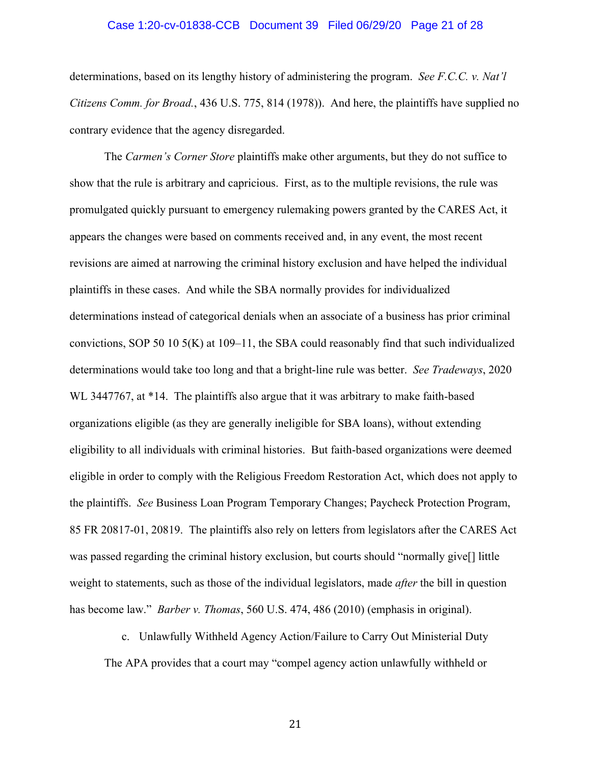## Case 1:20-cv-01838-CCB Document 39 Filed 06/29/20 Page 21 of 28

determinations, based on its lengthy history of administering the program. *See F.C.C. v. Nat'l Citizens Comm. for Broad.*, 436 U.S. 775, 814 (1978)). And here, the plaintiffs have supplied no contrary evidence that the agency disregarded.

The *Carmen's Corner Store* plaintiffs make other arguments, but they do not suffice to show that the rule is arbitrary and capricious. First, as to the multiple revisions, the rule was promulgated quickly pursuant to emergency rulemaking powers granted by the CARES Act, it appears the changes were based on comments received and, in any event, the most recent revisions are aimed at narrowing the criminal history exclusion and have helped the individual plaintiffs in these cases. And while the SBA normally provides for individualized determinations instead of categorical denials when an associate of a business has prior criminal convictions, SOP 50 10  $5(K)$  at 109–11, the SBA could reasonably find that such individualized determinations would take too long and that a bright-line rule was better. *See Tradeways*, 2020 WL 3447767, at \*14. The plaintiffs also argue that it was arbitrary to make faith-based organizations eligible (as they are generally ineligible for SBA loans), without extending eligibility to all individuals with criminal histories. But faith-based organizations were deemed eligible in order to comply with the Religious Freedom Restoration Act, which does not apply to the plaintiffs. *See* Business Loan Program Temporary Changes; Paycheck Protection Program, 85 FR 20817-01, 20819. The plaintiffs also rely on letters from legislators after the CARES Act was passed regarding the criminal history exclusion, but courts should "normally give[] little weight to statements, such as those of the individual legislators, made *after* the bill in question has become law." *Barber v. Thomas*, 560 U.S. 474, 486 (2010) (emphasis in original).

c. Unlawfully Withheld Agency Action/Failure to Carry Out Ministerial Duty The APA provides that a court may "compel agency action unlawfully withheld or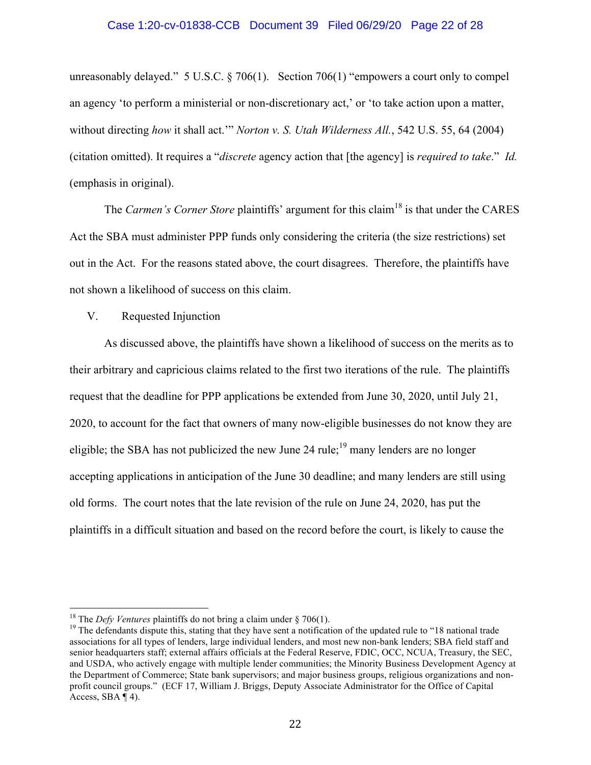## Case 1:20-cv-01838-CCB Document 39 Filed 06/29/20 Page 22 of 28

unreasonably delayed." 5 U.S.C.  $\S 706(1)$ . Section 706(1) "empowers a court only to compel an agency 'to perform a ministerial or non-discretionary act,' or 'to take action upon a matter, without directing *how* it shall act.'" *Norton v. S. Utah Wilderness All.*, 542 U.S. 55, 64 (2004) (citation omitted). It requires a "*discrete* agency action that [the agency] is *required to take*." *Id.*  (emphasis in original).

The *Carmen's Corner Store* plaintiffs' argument for this claim<sup>18</sup> is that under the CARES Act the SBA must administer PPP funds only considering the criteria (the size restrictions) set out in the Act. For the reasons stated above, the court disagrees. Therefore, the plaintiffs have not shown a likelihood of success on this claim.

V. Requested Injunction

As discussed above, the plaintiffs have shown a likelihood of success on the merits as to their arbitrary and capricious claims related to the first two iterations of the rule. The plaintiffs request that the deadline for PPP applications be extended from June 30, 2020, until July 21, 2020, to account for the fact that owners of many now-eligible businesses do not know they are eligible; the SBA has not publicized the new June 24 rule;<sup>19</sup> many lenders are no longer accepting applications in anticipation of the June 30 deadline; and many lenders are still using old forms. The court notes that the late revision of the rule on June 24, 2020, has put the plaintiffs in a difficult situation and based on the record before the court, is likely to cause the

<sup>&</sup>lt;sup>18</sup> The *Defy Ventures* plaintiffs do not bring a claim under § 706(1).<br><sup>19</sup> The defendants dispute this, stating that they have sent a notification of the updated rule to "18 national trade associations for all types of lenders, large individual lenders, and most new non-bank lenders; SBA field staff and senior headquarters staff; external affairs officials at the Federal Reserve, FDIC, OCC, NCUA, Treasury, the SEC, and USDA, who actively engage with multiple lender communities; the Minority Business Development Agency at the Department of Commerce; State bank supervisors; and major business groups, religious organizations and nonprofit council groups." (ECF 17, William J. Briggs, Deputy Associate Administrator for the Office of Capital Access, SBA ¶ 4).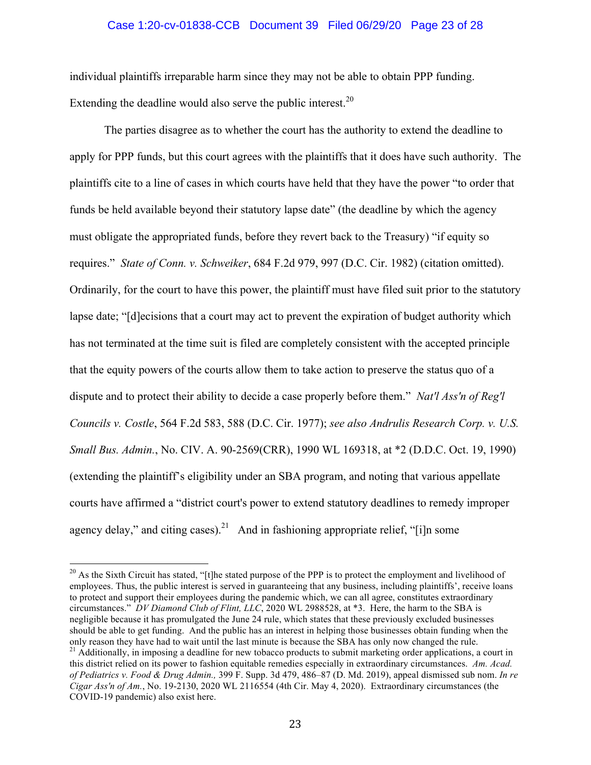## Case 1:20-cv-01838-CCB Document 39 Filed 06/29/20 Page 23 of 28

individual plaintiffs irreparable harm since they may not be able to obtain PPP funding. Extending the deadline would also serve the public interest. $20$ 

The parties disagree as to whether the court has the authority to extend the deadline to apply for PPP funds, but this court agrees with the plaintiffs that it does have such authority. The plaintiffs cite to a line of cases in which courts have held that they have the power "to order that funds be held available beyond their statutory lapse date" (the deadline by which the agency must obligate the appropriated funds, before they revert back to the Treasury) "if equity so requires." *State of Conn. v. Schweiker*, 684 F.2d 979, 997 (D.C. Cir. 1982) (citation omitted). Ordinarily, for the court to have this power, the plaintiff must have filed suit prior to the statutory lapse date; "[d]ecisions that a court may act to prevent the expiration of budget authority which has not terminated at the time suit is filed are completely consistent with the accepted principle that the equity powers of the courts allow them to take action to preserve the status quo of a dispute and to protect their ability to decide a case properly before them." *Nat'l Ass'n of Reg'l Councils v. Costle*, 564 F.2d 583, 588 (D.C. Cir. 1977); *see also Andrulis Research Corp. v. U.S. Small Bus. Admin.*, No. CIV. A. 90-2569(CRR), 1990 WL 169318, at \*2 (D.D.C. Oct. 19, 1990) (extending the plaintiff's eligibility under an SBA program, and noting that various appellate courts have affirmed a "district court's power to extend statutory deadlines to remedy improper agency delay," and citing cases).<sup>21</sup> And in fashioning appropriate relief, "[i]n some

<sup>&</sup>lt;sup>20</sup> As the Sixth Circuit has stated, "[t]he stated purpose of the PPP is to protect the employment and livelihood of employees. Thus, the public interest is served in guaranteeing that any business, including plaintiffs', receive loans to protect and support their employees during the pandemic which, we can all agree, constitutes extraordinary circumstances." *DV Diamond Club of Flint, LLC*, 2020 WL 2988528, at \*3. Here, the harm to the SBA is negligible because it has promulgated the June 24 rule, which states that these previously excluded businesses should be able to get funding. And the public has an interest in helping those businesses obtain funding when the only reason they have had to wait until the last minute is because the SBA has only now changed the rule. 21 Additionally, in imposing a deadline for new tobacco products to submit marketing order applications, a court in this district relied on its power to fashion equitable remedies especially in extraordinary circumstances. *Am. Acad. of Pediatrics v. Food & Drug Admin.,* 399 F. Supp. 3d 479, 486–87 (D. Md. 2019), appeal dismissed sub nom. *In re Cigar Ass'n of Am.*, No. 19-2130, 2020 WL 2116554 (4th Cir. May 4, 2020). Extraordinary circumstances (the COVID-19 pandemic) also exist here.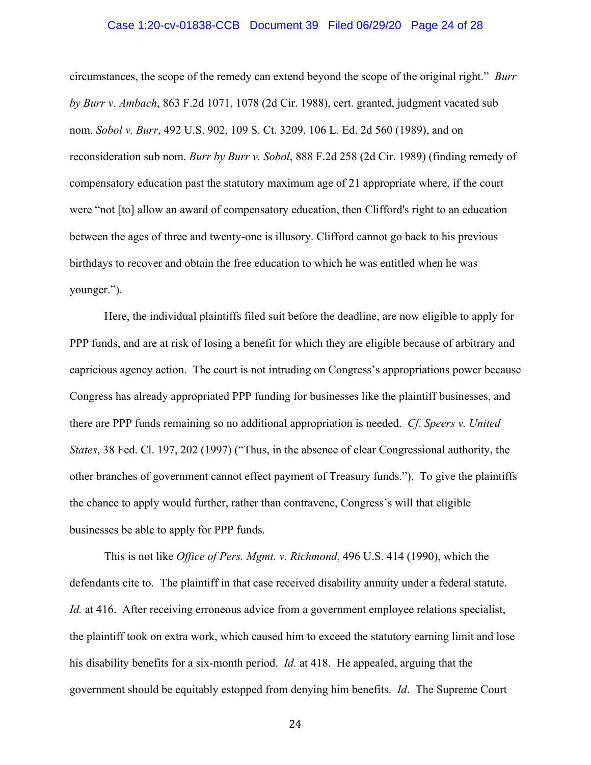## Case 1:20-cv-01838-CCB Document 39 Filed 06/29/20 Page 24 of 28

circumstances, the scope of the remedy can extend beyond the scope of the original right." *Burr by Burr v. Ambach*, 863 F.2d 1071, 1078 (2d Cir. 1988), cert. granted, judgment vacated sub nom. *Sobol v. Burr*, 492 U.S. 902, 109 S. Ct. 3209, 106 L. Ed. 2d 560 (1989), and on reconsideration sub nom. *Burr by Burr v. Sobol*, 888 F.2d 258 (2d Cir. 1989) (finding remedy of compensatory education past the statutory maximum age of 21 appropriate where, if the court were "not [to] allow an award of compensatory education, then Clifford's right to an education between the ages of three and twenty-one is illusory. Clifford cannot go back to his previous birthdays to recover and obtain the free education to which he was entitled when he was younger.").

Here, the individual plaintiffs filed suit before the deadline, are now eligible to apply for PPP funds, and are at risk of losing a benefit for which they are eligible because of arbitrary and capricious agency action. The court is not intruding on Congress's appropriations power because Congress has already appropriated PPP funding for businesses like the plaintiff businesses, and there are PPP funds remaining so no additional appropriation is needed. *Cf. Speers v. United States*, 38 Fed. Cl. 197, 202 (1997) ("Thus, in the absence of clear Congressional authority, the other branches of government cannot effect payment of Treasury funds."). To give the plaintiffs the chance to apply would further, rather than contravene, Congress's will that eligible businesses be able to apply for PPP funds.

This is not like *Office of Pers. Mgmt. v. Richmond*, 496 U.S. 414 (1990), which the defendants cite to. The plaintiff in that case received disability annuity under a federal statute. *Id.* at 416. After receiving erroneous advice from a government employee relations specialist, the plaintiff took on extra work, which caused him to exceed the statutory earning limit and lose his disability benefits for a six-month period. *Id.* at 418. He appealed, arguing that the government should be equitably estopped from denying him benefits. *Id*. The Supreme Court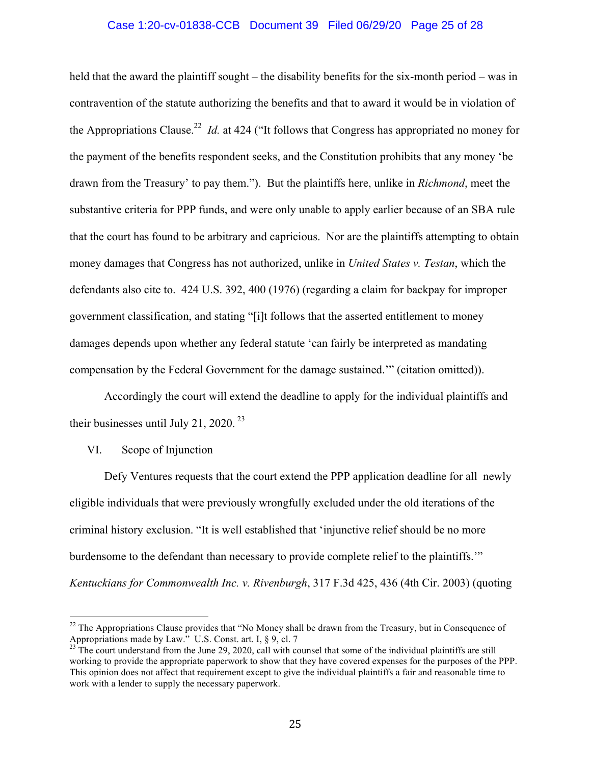## Case 1:20-cv-01838-CCB Document 39 Filed 06/29/20 Page 25 of 28

held that the award the plaintiff sought – the disability benefits for the six-month period – was in contravention of the statute authorizing the benefits and that to award it would be in violation of the Appropriations Clause. 22 *Id.* at 424 ("It follows that Congress has appropriated no money for the payment of the benefits respondent seeks, and the Constitution prohibits that any money 'be drawn from the Treasury' to pay them."). But the plaintiffs here, unlike in *Richmond*, meet the substantive criteria for PPP funds, and were only unable to apply earlier because of an SBA rule that the court has found to be arbitrary and capricious. Nor are the plaintiffs attempting to obtain money damages that Congress has not authorized, unlike in *United States v. Testan*, which the defendants also cite to. 424 U.S. 392, 400 (1976) (regarding a claim for backpay for improper government classification, and stating "[i]t follows that the asserted entitlement to money damages depends upon whether any federal statute 'can fairly be interpreted as mandating compensation by the Federal Government for the damage sustained.'" (citation omitted)).

Accordingly the court will extend the deadline to apply for the individual plaintiffs and their businesses until July 21, 2020. $^{23}$ 

## VI. Scope of Injunction

Defy Ventures requests that the court extend the PPP application deadline for all newly eligible individuals that were previously wrongfully excluded under the old iterations of the criminal history exclusion. "It is well established that 'injunctive relief should be no more burdensome to the defendant than necessary to provide complete relief to the plaintiffs.'" *Kentuckians for Commonwealth Inc. v. Rivenburgh*, 317 F.3d 425, 436 (4th Cir. 2003) (quoting

<sup>&</sup>lt;sup>22</sup> The Appropriations Clause provides that "No Money shall be drawn from the Treasury, but in Consequence of Appropriations made by Law." U.S. Const. art. I,  $\S$  9, cl. 7<br><sup>23</sup> The court understand from the June 29, 2020, call with counsel that some of the individual plaintiffs are still

working to provide the appropriate paperwork to show that they have covered expenses for the purposes of the PPP. This opinion does not affect that requirement except to give the individual plaintiffs a fair and reasonable time to work with a lender to supply the necessary paperwork.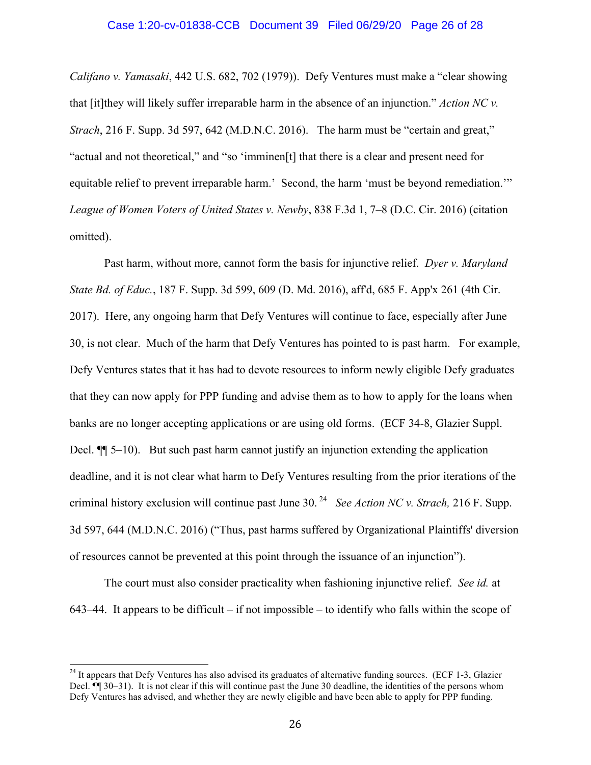## Case 1:20-cv-01838-CCB Document 39 Filed 06/29/20 Page 26 of 28

*Califano v. Yamasaki*, 442 U.S. 682, 702 (1979)). Defy Ventures must make a "clear showing that [it]they will likely suffer irreparable harm in the absence of an injunction." *Action NC v. Strach*, 216 F. Supp. 3d 597, 642 (M.D.N.C. 2016). The harm must be "certain and great," "actual and not theoretical," and "so 'imminen[t] that there is a clear and present need for equitable relief to prevent irreparable harm.' Second, the harm 'must be beyond remediation.'" *League of Women Voters of United States v. Newby*, 838 F.3d 1, 7–8 (D.C. Cir. 2016) (citation omitted).

Past harm, without more, cannot form the basis for injunctive relief. *Dyer v. Maryland State Bd. of Educ.*, 187 F. Supp. 3d 599, 609 (D. Md. 2016), aff'd, 685 F. App'x 261 (4th Cir. 2017). Here, any ongoing harm that Defy Ventures will continue to face, especially after June 30, is not clear. Much of the harm that Defy Ventures has pointed to is past harm. For example, Defy Ventures states that it has had to devote resources to inform newly eligible Defy graduates that they can now apply for PPP funding and advise them as to how to apply for the loans when banks are no longer accepting applications or are using old forms. (ECF 34-8, Glazier Suppl. Decl.  $\P$ [ 5–10). But such past harm cannot justify an injunction extending the application deadline, and it is not clear what harm to Defy Ventures resulting from the prior iterations of the criminal history exclusion will continue past June 30. 24 *See Action NC v. Strach,* 216 F. Supp. 3d 597, 644 (M.D.N.C. 2016) ("Thus, past harms suffered by Organizational Plaintiffs' diversion of resources cannot be prevented at this point through the issuance of an injunction").

The court must also consider practicality when fashioning injunctive relief. *See id.* at 643–44. It appears to be difficult – if not impossible – to identify who falls within the scope of

 $^{24}$  It appears that Defy Ventures has also advised its graduates of alternative funding sources. (ECF 1-3, Glazier Decl. ¶¶ 30–31). It is not clear if this will continue past the June 30 deadline, the identities of the persons whom Defy Ventures has advised, and whether they are newly eligible and have been able to apply for PPP funding.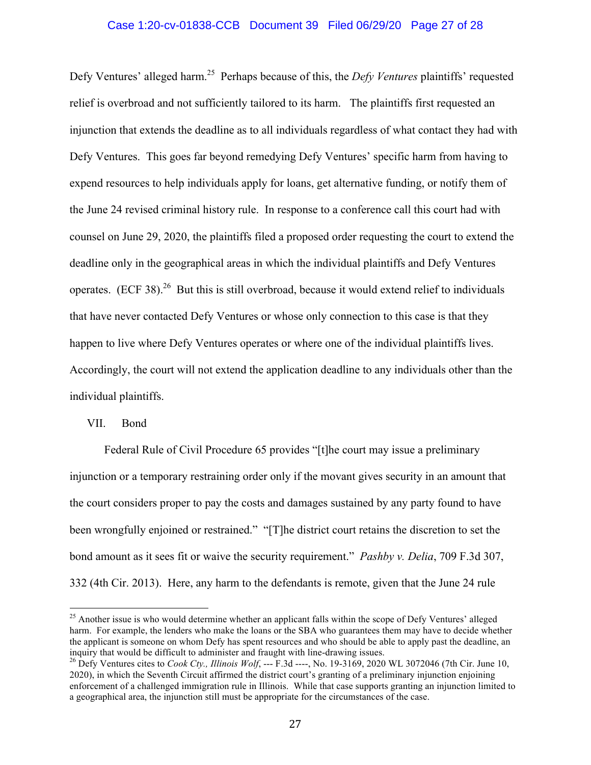## Case 1:20-cv-01838-CCB Document 39 Filed 06/29/20 Page 27 of 28

Defy Ventures' alleged harm.25 Perhaps because of this, the *Defy Ventures* plaintiffs' requested relief is overbroad and not sufficiently tailored to its harm. The plaintiffs first requested an injunction that extends the deadline as to all individuals regardless of what contact they had with Defy Ventures. This goes far beyond remedying Defy Ventures' specific harm from having to expend resources to help individuals apply for loans, get alternative funding, or notify them of the June 24 revised criminal history rule. In response to a conference call this court had with counsel on June 29, 2020, the plaintiffs filed a proposed order requesting the court to extend the deadline only in the geographical areas in which the individual plaintiffs and Defy Ventures operates. (ECF 38).<sup>26</sup> But this is still overbroad, because it would extend relief to individuals that have never contacted Defy Ventures or whose only connection to this case is that they happen to live where Defy Ventures operates or where one of the individual plaintiffs lives. Accordingly, the court will not extend the application deadline to any individuals other than the individual plaintiffs.

#### VII. Bond

Federal Rule of Civil Procedure 65 provides "[t]he court may issue a preliminary injunction or a temporary restraining order only if the movant gives security in an amount that the court considers proper to pay the costs and damages sustained by any party found to have been wrongfully enjoined or restrained." "[T]he district court retains the discretion to set the bond amount as it sees fit or waive the security requirement." *Pashby v. Delia*, 709 F.3d 307, 332 (4th Cir. 2013). Here, any harm to the defendants is remote, given that the June 24 rule

<sup>&</sup>lt;sup>25</sup> Another issue is who would determine whether an applicant falls within the scope of Defy Ventures' alleged harm. For example, the lenders who make the loans or the SBA who guarantees them may have to decide whether the applicant is someone on whom Defy has spent resources and who should be able to apply past the deadline, an

inquiry that would be difficult to administer and fraught with line-drawing issues. 26 Defy Ventures cites to *Cook Cty., Illinois Wolf*, --- F.3d ----, No. 19-3169, <sup>2020</sup> WL <sup>3072046</sup> (7th Cir. June 10, 2020), in which the Seventh Circuit affirmed the district court's granting of a preliminary injunction enjoining enforcement of a challenged immigration rule in Illinois. While that case supports granting an injunction limited to a geographical area, the injunction still must be appropriate for the circumstances of the case.